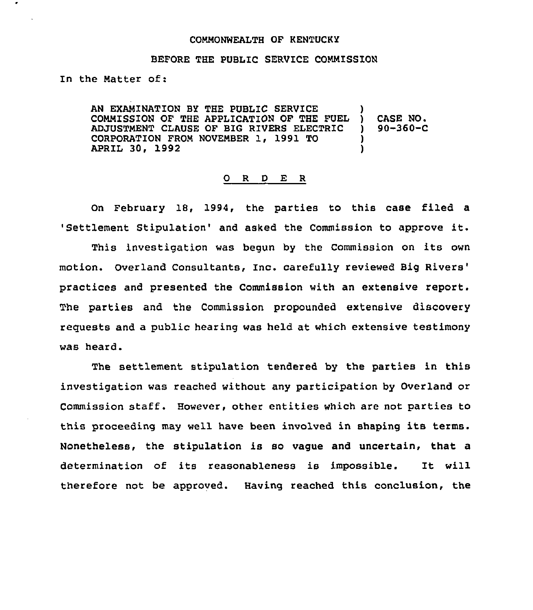## COMMONWEALTH OF KENTUCKY

## BEFORE THE PUBLIC SERVICE COMMISSION

In the Natter of:

AN EXAMINATION BY THE PUBLIC SERVICE COMMISSION OF THE APPLICATION OF THE FUEL ADJUSTMENT CLAUSE OF BIG RIVERS ELECTRIC CORPORATION FROM NOVEMBER 1, 1991 TO APRIL 30, 1992 )  $($  CASE NO.<br> $($  90-360-C ) 90-360-C ! )

## 0 R <sup>D</sup> E <sup>R</sup>

On February 18, 1994, the parties to this case filed a 'Settlement Stipulation' and asked the Commission to approve it.

i'his investigation was begun by the Commission on its own motion. Overland Consultants, Inc. carefully reviewed Big and presented the Commission with an extensive report The parties and the Commission propounded extensive discovery reguests and a public hearing was held at which extensive testimony was heard.

The settlement stipulation tendered by the parties in this investigation was reached without any participation by Overland or Commission staff. However, other entities which are not parties to this proceeding may well have been involved in shaping its terms. Nonetheless, the stipulation is so vague and uncertain, that a determination of its reasonableness is impossible. It will therefore not be approved. Having reached this conclusion, the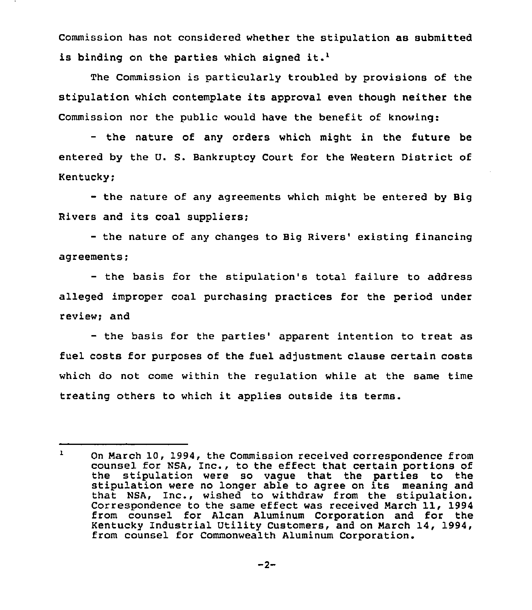Commission has not considered whether the stipulation as submitted is binding on the parties which signed it.<sup>1</sup>

The Commission is particularly troubled by provisions of the stipulation which contemplate its approval even though neither the Commission nor the public would have the benefit of knowing:

the nature of any orders which might in the future be entered by the U. S. Bankruptcy Court for the Western District of Kentucky;

— the nature of any agreements which might be entered by Big Rivers and its coal suppliers;

- the nature of any changes to Big Rivers' existing financing agreements;

- the basis for the stipulation's total failure to address alleged improper coal purchasing practices for the period under review; and

- the basis for the parties' apparent intention to treat as fuel costs for purposes of the fuel adjustment clause certain costs which do not come within the regulation while at the same time treating others to which it applies outside its terms.

 $\mathbf{1}$ On March 10, 1994, the Commission received correspondence from counsel for NSA, Inc., to the effect that certain portions of the stipulation were so vague that the parties to the stipulation were no longer able to agree on its meaning and that NSA, Inc., wished to withdraw from the stipulation. Correspondence to the same effect was received March 11, 1994 from counsel for Alcan Aluminum Corporation and for the Kentucky Industrial Utility Customers, and on March 14, 1994, from counsel for Commonwealth Aluminum Corporation.